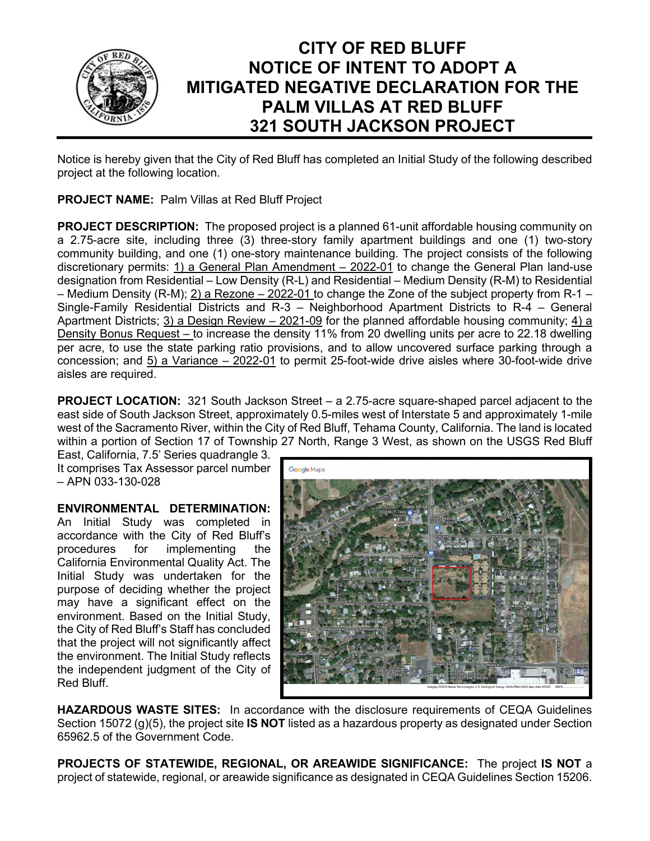

## **CITY OF RED BLUFF NOTICE OF INTENT TO ADOPT A MITIGATED NEGATIVE DECLARATION FOR THE PALM VILLAS AT RED BLUFF 321 SOUTH JACKSON PROJECT**

Notice is hereby given that the City of Red Bluff has completed an Initial Study of the following described project at the following location.

**PROJECT NAME:** Palm Villas at Red Bluff Project

**PROJECT DESCRIPTION:** The proposed project is a planned 61-unit affordable housing community on a 2.75-acre site, including three (3) three-story family apartment buildings and one (1) two-story community building, and one (1) one-story maintenance building. The project consists of the following discretionary permits: 1) a General Plan Amendment – 2022-01 to change the General Plan land-use designation from Residential – Low Density (R-L) and Residential – Medium Density (R-M) to Residential – Medium Density (R-M); 2) a Rezone – 2022-01 to change the Zone of the subject property from R-1 – Single-Family Residential Districts and R-3 – Neighborhood Apartment Districts to R-4 – General Apartment Districts; 3) a Design Review  $-2021-09$  for the planned affordable housing community;  $4)$  a Density Bonus Request – to increase the density 11% from 20 dwelling units per acre to 22.18 dwelling per acre, to use the state parking ratio provisions, and to allow uncovered surface parking through a concession; and 5) a Variance – 2022-01 to permit 25-foot-wide drive aisles where 30-foot-wide drive aisles are required.

**PROJECT LOCATION:** 321 South Jackson Street – a 2.75-acre square-shaped parcel adjacent to the east side of South Jackson Street, approximately 0.5-miles west of Interstate 5 and approximately 1-mile west of the Sacramento River, within the City of Red Bluff, Tehama County, California. The land is located within a portion of Section 17 of Township 27 North, Range 3 West, as shown on the USGS Red Bluff

East, California, 7.5' Series quadrangle 3. It comprises Tax Assessor parcel number – APN 033-130-028

**ENVIRONMENTAL DETERMINATION:** An Initial Study was completed in accordance with the City of Red Bluff's procedures for implementing the California Environmental Quality Act. The Initial Study was undertaken for the purpose of deciding whether the project may have a significant effect on the environment. Based on the Initial Study, the City of Red Bluff's Staff has concluded that the project will not significantly affect

the environment. The Initial Study reflects the independent judgment of the City of

Red Bluff.



**HAZARDOUS WASTE SITES:** In accordance with the disclosure requirements of CEQA Guidelines Section 15072 (g)(5), the project site **IS NOT** listed as a hazardous property as designated under Section 65962.5 of the Government Code.

**PROJECTS OF STATEWIDE, REGIONAL, OR AREAWIDE SIGNIFICANCE:** The project **IS NOT** a project of statewide, regional, or areawide significance as designated in CEQA Guidelines Section 15206.